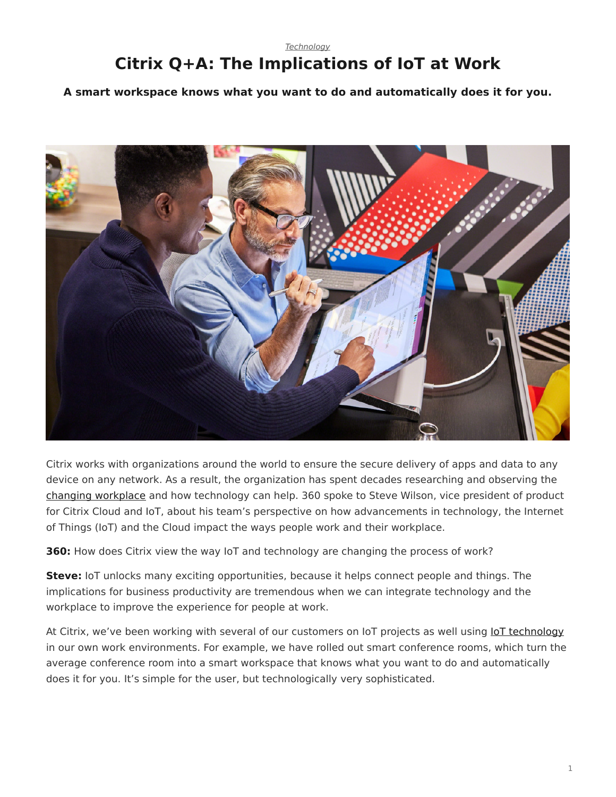## <span id="page-0-0"></span>*[Technology](https://www.steelcase.com/research/topics/technology/)* **Citrix Q+A: The Implications of IoT at Work**

**A smart workspace knows what you want to do and automatically does it for you.**



Citrix works with organizations around the world to ensure the secure delivery of apps and data to any device on any network. As a result, the organization has spent decades researching and observing the [changing workplace](https://www.steelcase.com/research/articles/topics/workplace/state-work-blur-edges/) and how technology can help. 360 spoke to Steve Wilson, vice president of product for Citrix Cloud and IoT, about his team's perspective on how advancements in technology, the Internet of Things (IoT) and the Cloud impact the ways people work and their workplace.

**360:** How does Citrix view the way IoT and technology are changing the process of work?

**Steve:** IoT unlocks many exciting opportunities, because it helps connect people and things. The implications for business productivity are tremendous when we can integrate technology and the workplace to improve the experience for people at work.

At Citrix, we've been working with several of our customers on IoT projects as well using [IoT technology](https://www.steelcase.com/research/articles/topics/technology/microsoft-steelcase-partner-boost-creative-work/) in our own work environments. For example, we have rolled out smart conference rooms, which turn the average conference room into a smart workspace that knows what you want to do and automatically does it for you. It's simple for the user, but technologically very sophisticated.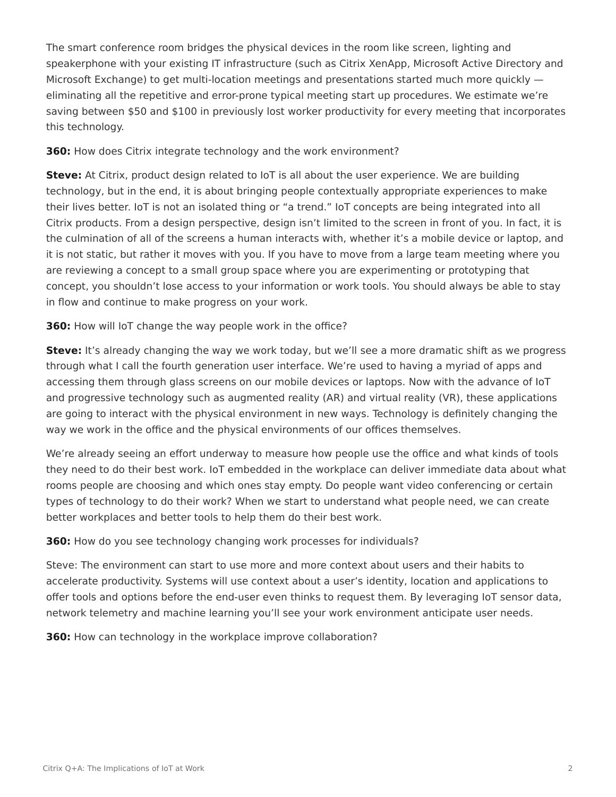The smart conference room bridges the physical devices in the room like screen, lighting and speakerphone with your existing IT infrastructure (such as Citrix XenApp, Microsoft Active Directory and Microsoft Exchange) to get multi-location meetings and presentations started much more quickly eliminating all the repetitive and error-prone typical meeting start up procedures. We estimate we're saving between \$50 and \$100 in previously lost worker productivity for every meeting that incorporates this technology.

**360:** How does Citrix integrate technology and the work environment?

**Steve:** At Citrix, product design related to IoT is all about the user experience. We are building technology, but in the end, it is about bringing people contextually appropriate experiences to make their lives better. IoT is not an isolated thing or "a trend." IoT concepts are being integrated into all Citrix products. From a design perspective, design isn't limited to the screen in front of you. In fact, it is the culmination of all of the screens a human interacts with, whether it's a mobile device or laptop, and it is not static, but rather it moves with you. If you have to move from a large team meeting where you are reviewing a concept to a small group space where you are experimenting or prototyping that concept, you shouldn't lose access to your information or work tools. You should always be able to stay in flow and continue to make progress on your work.

**360:** How will IoT change the way people work in the office?

**Steve:** It's already changing the way we work today, but we'll see a more dramatic shift as we progress through what I call the fourth generation user interface. We're used to having a myriad of apps and accessing them through glass screens on our mobile devices or laptops. Now with the advance of IoT and progressive technology such as augmented reality (AR) and virtual reality (VR), these applications are going to interact with the physical environment in new ways. Technology is definitely changing the way we work in the office and the physical environments of our offices themselves.

We're already seeing an effort underway to measure how people use the office and what kinds of tools they need to do their best work. IoT embedded in the workplace can deliver immediate data about what rooms people are choosing and which ones stay empty. Do people want video conferencing or certain types of technology to do their work? When we start to understand what people need, we can create better workplaces and better tools to help them do their best work.

**360:** How do you see technology changing work processes for individuals?

Steve: The environment can start to use more and more context about users and their habits to accelerate productivity. Systems will use context about a user's identity, location and applications to offer tools and options before the end-user even thinks to request them. By leveraging IoT sensor data, network telemetry and machine learning you'll see your work environment anticipate user needs.

**360:** How can technology in the workplace improve collaboration?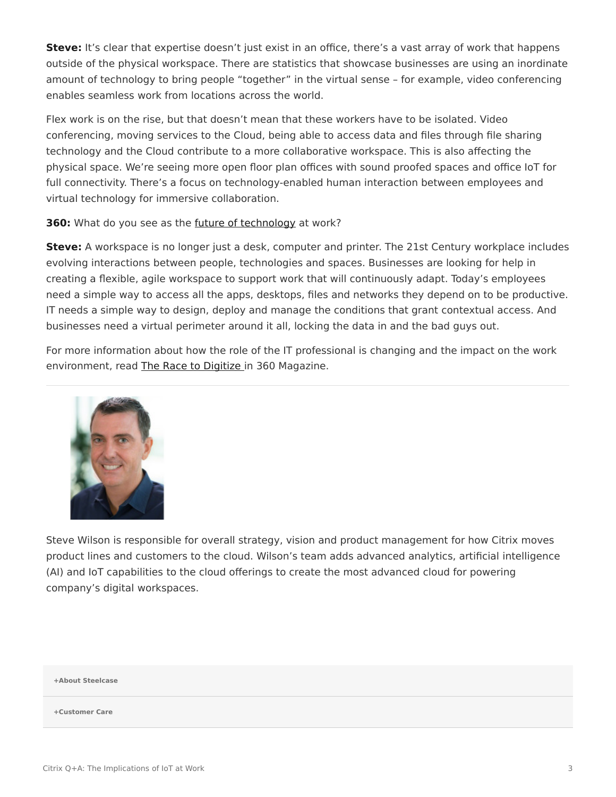**Steve:** It's clear that expertise doesn't just exist in an office, there's a vast array of work that happens outside of the physical workspace. There are statistics that showcase businesses are using an inordinate amount of technology to bring people "together" in the virtual sense – for example, video conferencing enables seamless work from locations across the world.

Flex work is on the rise, but that doesn't mean that these workers have to be isolated. Video conferencing, moving services to the Cloud, being able to access data and files through file sharing technology and the Cloud contribute to a more collaborative workspace. This is also affecting the physical space. We're seeing more open floor plan offices with sound proofed spaces and office IoT for full connectivity. There's a focus on technology-enabled human interaction between employees and virtual technology for immersive collaboration.

**360:** What do you see as the *[future of technology](https://www.steelcase.com/research/podcasts/topics/technology/listen-designing-future-work-technology/)* at work?

**Steve:** A workspace is no longer just a desk, computer and printer. The 21st Century workplace includes evolving interactions between people, technologies and spaces. Businesses are looking for help in creating a flexible, agile workspace to support work that will continuously adapt. Today's employees need a simple way to access all the apps, desktops, files and networks they depend on to be productive. IT needs a simple way to design, deploy and manage the conditions that grant contextual access. And businesses need a virtual perimeter around it all, locking the data in and the bad guys out.

For more information about how the role of the IT professional is changing and the impact on the work environment, read [The Race to Digitize](https://www.steelcase.com/research/articles/topics/technology/race-digitize/) in 360 Magazine.



Steve Wilson is responsible for overall strategy, vision and product management for how Citrix moves product lines and customers to the cloud. Wilson's team adds advanced analytics, artificial intelligence (AI) and IoT capabilities to the cloud offerings to create the most advanced cloud for powering company's digital workspaces.

## **[+About Steelcase](https://www.steelcase.com/discover/steelcase/our-company/)**

## **[+Customer Care](#page-0-0)**